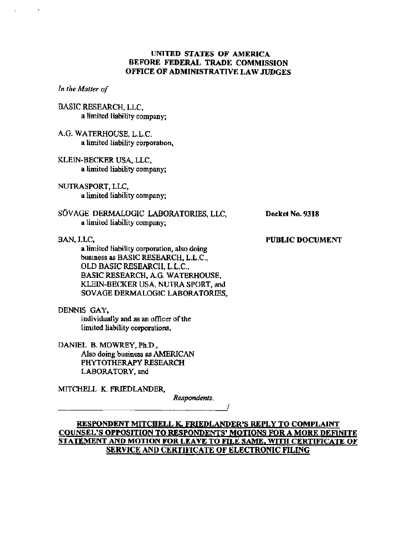# UNITED STATES OF AMERICA BEFORE FEDERAL TRADE COMMISSION OFFICE OF ADMINISTRATIVE LAW JUDGES

In the Maller of

- BASIC RESEARCH, LLC a limited liability company;
- A.G. WATERHOUSE, L.L.C. a limted liability corporation
- KLEIN-BECKER USA, LLC a limited liability company;
- NUTRSPORT, LLC, a limited liability company;
- SÖVAGE DERMALOGIC LABORATORIES, LLC. a 1imited liability company;

BAN, LLC,

a limited liability corporation, also doing business as BASIC RESEARCH, L.L.C., OLD BASIC RESEARCH, L.L.C., BASIC RESEARCH, A.G. WATERHOUSE KLEIN-BECKER USA, NUTRA SPORT, and SOV AGE DERMALOGIC LABORATORIS,

DENNIS GAY

individually and as an officer of the limited liability corporations.

DANIEL B. MOWREY, Ph. Also doing business as AMERICAN PHYTOTHERAPY RESEARCH LABORATORY, and

MITCHELL K. FRIEDLANDER.

Respondents.

# RESPONDENT MITCHELL K. FRIEDLANDER'S REPLY TO COMPLAINT COUNSEL'S OPPOSITION TO RESPONDENTS' MOTIONS FOR A MORE DEFINITE STATEMENT AND MOTION FOR LEAVE TO FILE SAME, WITH CERTIFICATE OF SERVICE AND CERTIFICATE OF ELECTRONIC FILING

-7

Docket No. 9318

PUBLIC DOCUMENT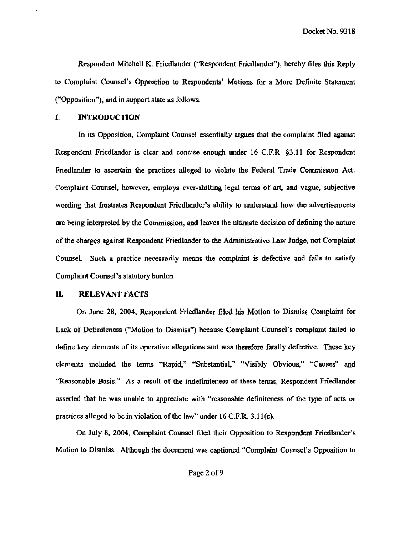Docket No. 9318

Respndent Mitchell K. Friedlander ("Respondent Friedlander ), herby files ths Reply to Complaint Counsel's Opposition to Respondents' Motions for a More Definite Statement ("Opposition"), and in support state as follows.

#### Ι. INTRODUCTION

In its Opposition, Complaint Counsel essentially argues that lhe complaint fied against Respondent Friedlander is clear and concise enough under 16 C.F.R. §3.11 for Respondent Friedlander to ascertain the practices alleged to violate the Federal Trade Commission Act. Complaint Counsel, however, employs ever-shifting legal terms of art, and vague, subjective wording that frustrates Respondent Friedlander's ability to understand how the advertisements are being interpreted by the Commission, and leaves the ultimate decision of defining the nature of the charges against Respondent Friedander to the Admnistrative Law Judge, not Complaint Counsel. Such a practice necessarily means the complaint is defective and fails to satisfy Complaint Counsel's statutory burden.

#### П. RELEVANT FACTS

On June 28, 2004, Respondent Friedlander filed his Motion to Dismiss Complaint for Lack of Definiteness ("Motion to Dismiss") because Complaint Counsel's complaint failed to define key elements of its operative allegations and was therefore fatally defective. These key elements included the terms "Rapid," "Substantial," "Visibly Obvious," "Causes" and Reasonable Basis." As a result of the indefiniteness of these tenus, Respondent Friedlander asserted tbat he was unble to apreciate with "reasonable definiteness of the type of acts or practices alleged to be in violation of the law" under  $16$  C.F.R. 3.11(c).

On July 8, 2004, Complaint Counsel filed their Opposition to Respondent Friedlander's Motion to Dismiss. Although the document was captioned "Complait Counsel's Opposition to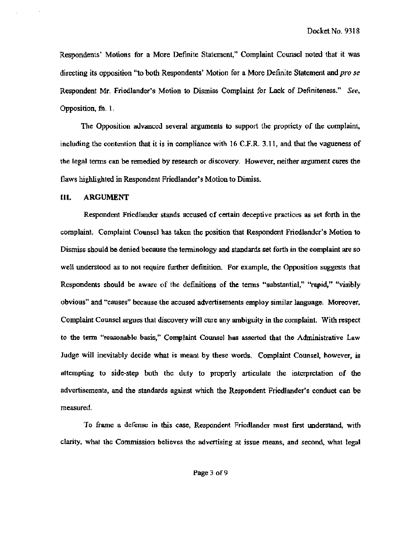Respondents' Motions for a More Definite Statement," Complaint Counsel noted that it was directing its opposition "to both Respondents' Motion for a More Definite Statement and pro se Respondent Mr. Friedlander's Motion to Dismiss Complaint for Lack of Definiteness." See, Oposition, fn. 1.

The Opposition advanced several arguments to support the propriety of the complaint, including the contention that it is in compliance with  $16$  C.F.R. 3.11, and that the vagueness of the legal terms can be remedied by research or discovery. However, neither argument cures the flaws highlighted in Respondent Friedlander's Motion to Dimiss.

### II. ARGUMENT

Respondent Friedlander stands accused of certain deceptive practices as set forth in the complaint. Complaint Counsel has taken the position that Respondent Friedlander's Motion to Dismiss should be denied because the terminology and standards set forth in the complaint are so well understood as to not require further definition. For example, the Opposition suggests that Respondents should be aware of the definitions of the terms "substantial," "rapid," "visibly obvious" and "causes" because the accused adversements employ similar language. Morever, Complaint Counsel argues that discovery will cure any ambiguity in the complaint. With respect to the term "reasonable basis," Complaint Counsel has asserted that the Administrative Law Judge will inevitably decide what is meant by these words. Complaint Counsel, however, is attempting to side-step both the duty to properly articulate the interpretation of the advertisements, and the standards against which the Respondent Friedlander's conduct can be measured.

To frame a defense in this case, Respondent Friedlander must first understand, with clarty, what the Commission believes the advertising at jssue mems. and second, what lega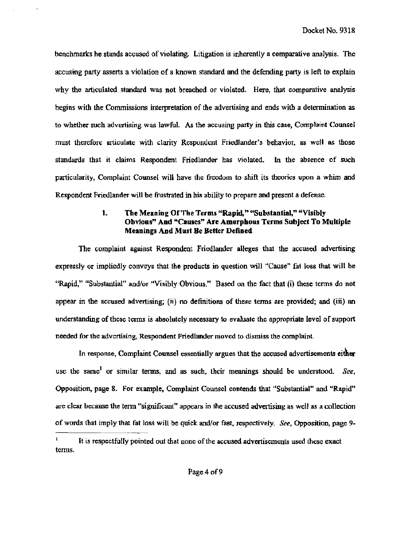benchmarks he stands accused of violating. Litigation is inherently a comparative analysis. The accusing party asserts a violation of a known standard and the defending party is left to explain why the articulated standard was not breached or violated. Here, that comparative analysis begins with the Commissions interpretation of the advertising and ends with a determination as to whether such advertising was lawful. As the accusing party in this case, Complaint Counsel must therefore articulate with clarity Respondent Friedlander's behavior, as well as those standards that it claims Respondent Friedlander has violated. In the absence of such particularity. Complaint Counsel will have the freedom to shift its theories upon a whim and Respondent Friedlander will be frustrated in his ability to prepare and present a defense.

### The Meaning Of The Terms "Rapid." "Substantial." "Visibly  $\mathbf{1}$ . Obvious" And "Causes" Are Amerphous Terms Subject To Multiple **Meanings And Must Be Better Defined**

The complaint against Respondent Friedlander alleges that the accused advertising expressly or impliedly conveys that the products in question will "Cause" fat loss that will be "Rapid." "Substantial" and/or "Visibly Obvious." Based on the fact that (i) these terms do not appear in the accused advertising; (ii) no definitions of these terms are provided; and (iii) an understanding of these terms is absolutely necessary to evaluate the appropriate level of support needed for the advertising, Respondent Friedlander moved to dismiss the complaint.

In response, Complaint Counsel essentially argues that the accused advertisements either use the same<sup>1</sup> or similar terms, and as such, their meanings should be understood. See, Opposition, page 8. For example, Complaint Counsel contends that "Substantial" and "Rapid" are clear because the term "significant" appears in the accused advertising as well as a collection of words that imply that fat loss will be quick and/or fast, respectively. See, Opposition, page 9-

It is respectfully pointed out that none of the accused advertisements used these exact terms.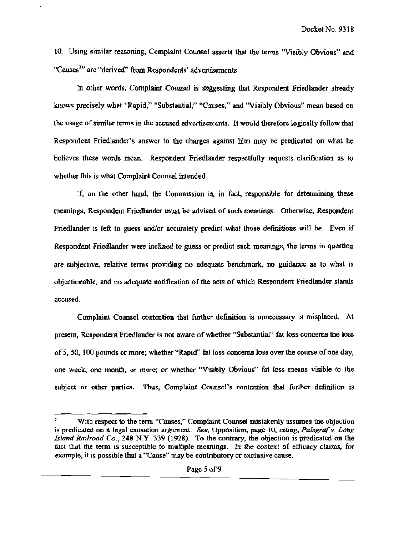10. Using similar reasoning, Complaint Counsel asserts that the terms "Visibly Obvious" and "Causes $^{2n}$  are "derived" from Respondents' advertisements.

In other words, Complaint Counsel is suggesting that Respondent Friedlander already knows precisely what "Rapid," "Substantial," "Causes," and "Visibly Obvious" mean based on the usage of similar terms in the accused advertisements. It would therefore logically follow that Respondent Friedlander's answer to the charges against him may be predicated on what he believes these words mean. Respondent Friedlander respectfully requests clarification as to whether this is what Complaint Counsel intended.

If, on the other hand, the Commission is, in fact, responsible for determining these meanings, Respondent Friedlander must be advised of such meanings. Otherwise, Respondent Friedlander is left to guess and/or accurately predict what those definitions will be. Even if Respondent Friedlander were inclined to guess or predict such meanings, the terms in question are subjective, relative terms providing no adequate benchmark, no guidance as to what is objectionable, and no adequate notification of the acts of which Respondent Friedlander stands accused.

Complaint Counsel contention that further definition is unnecessary is misplaced. At present, Respondent Friedlander is not aware of whether "Substantial" fat loss concerns the loss of 5, 50, 100 pounds or more; whether "Rapid" fat loss concerns loss over the course of one day, one week, one month, or more; or whether "Visibly Obvious" fat loss means visible to the subject or other parties. Thus, Complaint Counsel's contention that further definition is

With respect to the term "Causes," Complaint Counsel mistakenly assumes the objection is predicated on a legal causation argument. See, Opposition, page 10, citing, Palsgraf v. Long Island Railroad Co., 248 N.Y. 339 (1928). To the contrary, the objection is predicated on the fact that the term is susceptible to multiple meanings. In the context of efficacy claims, for example, it is possible that a "Cause" may be contributory or exclusive cause.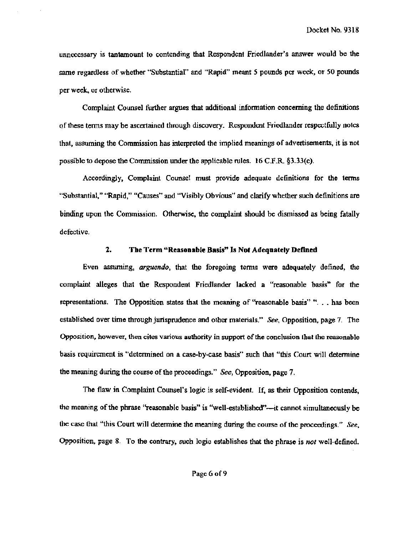unnecessary is tantamount to contending that Respondent Friedlander's answer would be the same regardless of whether "Substantial" and "Rapid" meant 5 pounds pcr week, or 50 pounds per week, or otherwise.

Complaint Counsel further argues that additional information concerning the definitions of these terms may be ascertained through discovery. Respondent Friedlander respectfully notes that, assuming the Commission has interpreted the implied meanings of advertisements, it is not possible to depose the Commission under the applicable rules. 16 C.F.R. \$3.33(c).

Accordingly, Complaint Counsel must provide adequate definitions for the terms "Substantial," "Rapid," "Causes" and "Visibly Obvious" and clarify whether such definitions are binding upon the Commission. Otherwise, the complaint should be dismissed as being fatally defective.

#### $2.$ The Term "Reasonable Basis" Is Not Adequately Defined

Even assuming, *arguendo*, that the foregoing terms were adequately defined, the complaint alleges that the Respondent Friedlander lacked a "reasonable basis" for the representations. The Opposition states that the meaning of "reasonable basis" "... has been established over time through jurisprudence and other materials." See, Opposition, page 7. The Opposition, however, then cites various authority in support of the conclusion that the reasonable basis requirement is "determined on a case-by-case basis" such that "this Court will determine the meaning during the course of the proceedings." See, Opposition, page 7.

The flaw in Complaint Counsel's logic is self-evident. If, as their Opposition contends, the meaning of the phrase 'reasonable basis'' is "well-established"—it cannot simultaneously be the case that "this Court will determine the meaning during the course of the proceedings." See, Opposition, page 8. To the contrary, such logic establishes that the phrase is not well-defined.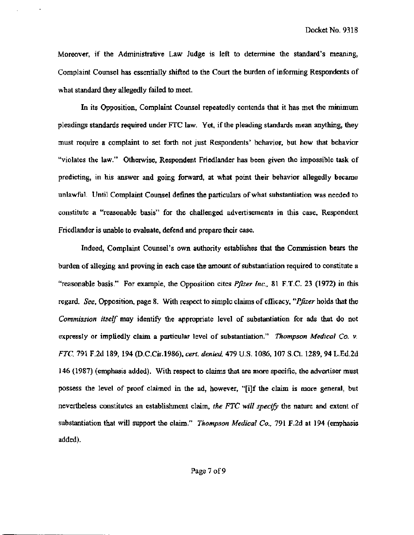Moreover, if the Administrative Law Judge is left to determine the standard's meaning, Complaint Counel has essentially shifed to the Cour the buren of infonning Respondents of what standard they allegedly failed to meet.

In its Opposition, Complaint Counsel repeatedly contends that it has met the minimum pleadings standards required under FTC law. Yet, if the pleading standards mean anything, they must require a complaint to set forth not just Respondents' behavior, but how that behavior "violates the law." Otherwise, Respondent Friedlander has been given the impossible task of predicting, in his answer and going forward, at what point their behavior allegedly became unlawful. Until Complaint Counsel defines the particulars of what substantiation was needed to consttute a "reasonable basis" for the challenged advertsements in this case. Respondent Friedlander is unable to evaluate, defend and prepare their case.

Indeed, Complaint Counsel's own authority establishes that the Commission bears the burden of alleging and proving in each case the amount of substantiation required to constitute a "reasonable basis." For example, the Opposition cites *Pfizer Inc.*, 81 F.T.C. 23 (1972) in this regard. See, Opposition, page 8. With respect to simple claims of efficacy, "*Pfizer* holds that the Commission itself may identify the appropriate level of substantiation for ads that do not expressly or impliedly claim a particular level of substantiation." Thompson Medical Co. v. FTC, 791 F.2d 189, 194 (D.C.Cir.1986), cert. denied, 479 U.S. 1086, 107 S.Ct. 1289, 94 L.Ed.2d 146 (1987) (emphasis added). With respect to claims that are more specific, the advertiser must possess the level of proof claimed in the ad, however, "[i]f the claim is more general, but nevertheless constitutes an establishment claim, the FTC will specify the nature and extent of substantiation that will support the claim." *Thompson Medical Co.*, 791 F.2d at 194 (emphasis added).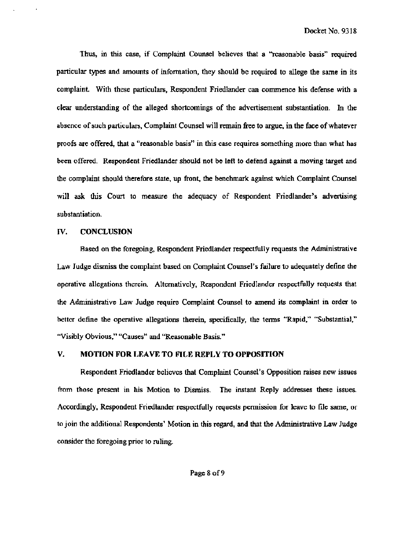Thus, in this case, if Complaint Counsel believes that a "reasonable basis" required particular types and amounts of information, they should be required to allege the same in its complaint. With these particulars, Respondent Friedlander can commence his defense with a clear understanding of the alleged shortcomings of the advertisement substantiation. In the absence of such particulars, Complaint Counsel will remain free to argue, in the face of whatever proofs are offered, that a "reasonable basis" in this case requires something more than what has been offered. Respondent Friedlander should not be left to defend against a moving target and the complaint should therefore state, up front, the benchmark against which Complaint Counsel will ask this Court to measure the adequacy of Respondent Friedlander's advertising substantiation.

## IV. CONCLUSION

Based on the foregoing, Respondent Friedlander respectfully requests the Administrative Law Judge dismiss the complaint based on Complaint Counsel's failure to adequately define the operative allegations therein. Alternatively, Respondent Friedlander respectfully requests that the Administrative Law Judge require Complaint Counsel to amend its complaint in order to better define the operative allegations therein, specifically, the terms "Rapid," "Substantial,' "Visibly Obvious," "Causes" and "Reasonable Basis."

#### V. MOTION FOR LEAVE TO FILK REPLY TO OPPOSITION

Respondent Friedlander believes that Complaint Counsel's Opposition raises new issues from those present in his Motion to Dismiss. The instant Reply addresses these issues. Accordingly, Respondent Friedlander respectfully requests permission for leave to file same, or to join the additional Respondents' Motion in this regard, and that the Administrative Law Judge consider the foregoing prior to ruling.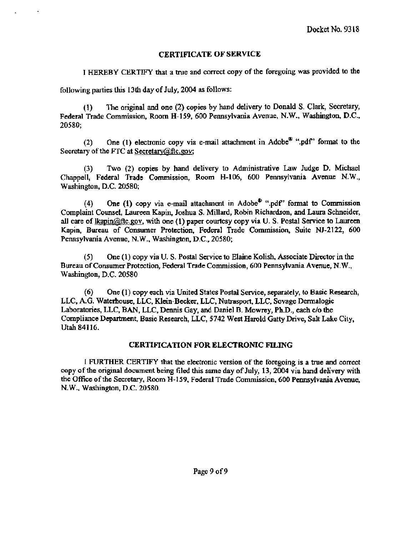# CERTIFICATE OF SERVICE

I HEREBY CERTIFY that a true and correct copy of the foregoing was provided to the

following parties this 13th day of July, 2004 as follows:

(1) The original and one (2) copies by hand delivery to Donald S. Clark, Secretary, Federal Trade Commission, Room H-159, 600 Pennsylvania Avenue, N.W., Washington, D.C., 20580;

(2) One (1) electronic copy via e-mail attachment in Adobe<sup> $\Phi$ </sup> ".pdf" format to the Secretary of the FTC at Secretary  $@$  ftc. gov;

(3) Two (2) copies by hand delivery to Administrative Law Judge D. Michael Chappell, Federal Trade Commission, Room H-106, 600 Pennsylvania Avenue N.W., Washington, D.C. 20580;

(4) One (1) copy via e-mail attachment in Adobe<sup> $\Phi$ </sup> ".pdf" format to Commission Complaint Counsel, Laureen Kapin, Joshua S. Millard, Robin Richardson, and Laura Schneider, all care of  $\frac{\text{lkapin@ftc.gov}}{\text{Witbore}}}$ , with one (1) paper courtesy copy via U.S. Postal Service to Laureen Kapin. Bureau of Consumer Protection. Federal Trade Commission, Suite NJ-2122, 600 Pennsylvania Avenue, N.W., Washington, D.C., 20580;

 $(5)$  One  $(1)$  copy via U. S. Postal Service to Elaine Kolish, Associate Director in the Bureau of Consumer Protection, Federal Trade Commission, 600 Pennsylvania Avenue, N.W., Washington, D.C. 20580

 $(6)$  One  $(1)$  copy each via United States Postal Service, separately, to Basic Research, LLC, A.G. Waterhouse, LLC, Klein-Becker, LLC, Nutrasport, LLC, Sovage Dermalogic Laboratories, LLC, BAN, LLC, Dennis Gay, and Daniel B. Mowrey, Ph.D., each c/o the Compliance Department, Basic Research, LLC, 5742 West Harold Gatty Drive, Salt Lake City, Utah 84116.

# CERTIFICATION FOR ELECTRONIC FILING

I FURTHER CERTIFY that the electronic version of the foregoing is a tre and caneel copy of the original document being filed this same day of July, 13, 2004 via hand delivery with the Office of the Secretary, Room H-159, Federal Trade Commission, 600 Pennsylvania Avenue, N.W., Washington, D.C. 20580.